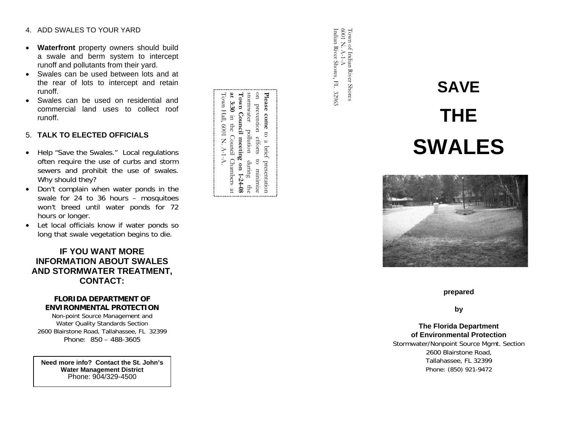#### 4. ADD SWALES TO YOUR YARD

- • **Waterfront** property owners should build a swale and berm system to intercept runoff and pollutants from their yard.
- Swales can be used between lots and at the rear of lots to intercept and retain runoff.
- Swales can be used on residential and commercial land uses to collect roof runoff.

#### 5. **TALK TO ELECTED OFFICIALS**

- Help "Save the Swales." Local regulations often require the use of curbs and storm sewers and prohibit the use of swales. Why should they?
- Don't complain when water ponds in the swale for 24 to 36 hours – mosquitoes won't breed until water ponds for 72 hours or longer.
- Let local officials know if water ponds so long that swale vegetation begins to die.

# **IF YOU WANT MORE INFORMATION ABOUT SWALES AND STORMWATER TREATMENT, CONTACT:**

#### **FLORIDA DEPARTMENT OF ENVIRONMENTAL PROTECTION**

Non-point Source Management and Water Quality Standards Section 2600 Blairstone Road, Tallahassee, FL 32399 Phone: 850 – 488-3605

**Need more info? Contact the St. John's Water Management District** Phone: 904/329-4500

| Town Hall, 6001 N. A-1-A. | at 3:30 in the Concil Chambers at | Town Council meeting on 1-24-08 | stormwater pollution during the | on prevention efforts to minimize | Please come to a brief presentation |  |
|---------------------------|-----------------------------------|---------------------------------|---------------------------------|-----------------------------------|-------------------------------------|--|
|                           |                                   |                                 |                                 |                                   |                                     |  |

Town of Indian River Shores<br>6001 N. A-1-A<br>Indian River Shores, FL 32963 Indian River Shores, FL 32963 6001 N. A-1-A Town of Indian River Shores

# **SAVE THE SWALES**



#### **prepared**

**by** 

#### **The Florida Department of Environmental Protection**

Stormwater/Nonpoint Source Mgmt. Section 2600 Blairstone Road, Tallahassee, FL 32399 Phone: (850) 921-9472